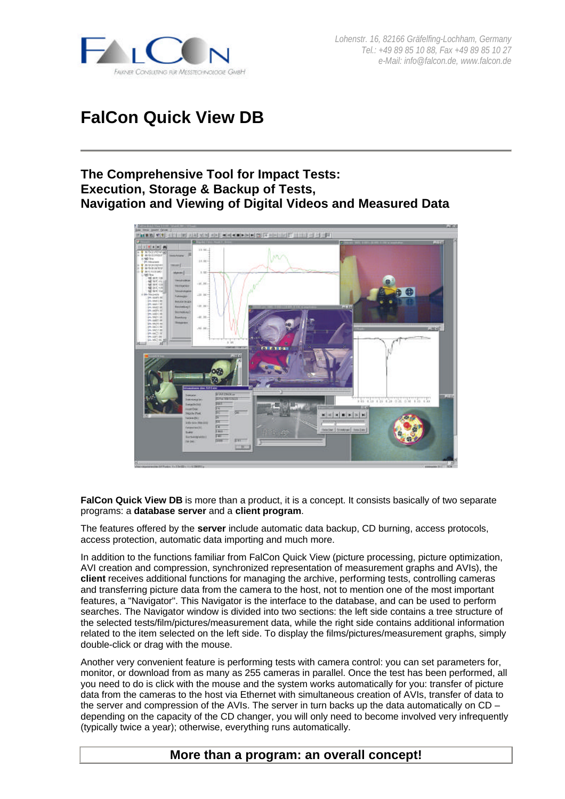

# **FalCon Quick View DB**

## **The Comprehensive Tool for Impact Tests: Execution, Storage & Backup of Tests, Navigation and Viewing of Digital Videos and Measured Data**



**FalCon Quick View DB** is more than a product, it is a concept. It consists basically of two separate programs: a **database server** and a **client program**.

The features offered by the **server** include automatic data backup, CD burning, access protocols, access protection, automatic data importing and much more.

In addition to the functions familiar from FalCon Quick View (picture processing, picture optimization, AVI creation and compression, synchronized representation of measurement graphs and AVIs), the **client** receives additional functions for managing the archive, performing tests, controlling cameras and transferring picture data from the camera to the host, not to mention one of the most important features, a "Navigator". This Navigator is the interface to the database, and can be used to perform searches. The Navigator window is divided into two sections: the left side contains a tree structure of the selected tests/film/pictures/measurement data, while the right side contains additional information related to the item selected on the left side. To display the films/pictures/measurement graphs, simply double-click or drag with the mouse.

Another very convenient feature is performing tests with camera control: you can set parameters for, monitor, or download from as many as 255 cameras in parallel. Once the test has been performed, all you need to do is click with the mouse and the system works automatically for you: transfer of picture data from the cameras to the host via Ethernet with simultaneous creation of AVIs, transfer of data to the server and compression of the AVIs. The server in turn backs up the data automatically on  $CD$ depending on the capacity of the CD changer, you will only need to become involved very infrequently (typically twice a year); otherwise, everything runs automatically.

### **More than a program: an overall concept!**